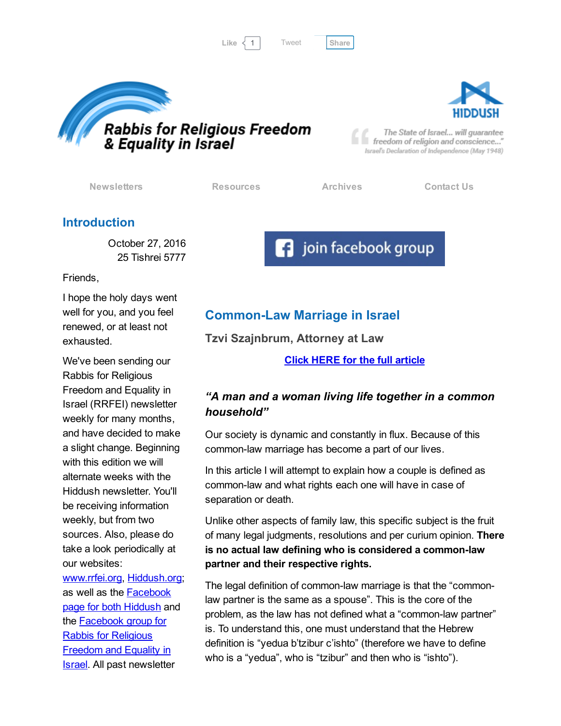Like  $\langle 1 |$  Tweet [Share](javascript:void(0);)

[Tweet](https://twitter.com/intent/tweet?original_referer=http%3A%2F%2Fhosted.verticalresponse.com%2F577764%2F4bb2664b8f%2F1468724403%2F325ceb4427%2F&ref_src=twsrc%5Etfw&text=Bulletin%3A%20Common-Law%20Marriage%20in%20Israel%20explained%3A&tw_p=tweetbutton&url=http%3A%2F%2Fhosted-p0.vresp.com%2F577764%2F4bb2664b8f%2FARCHIVE%23.WCTqUUyTWag.twitter)





The State of Israel... will guarantee freedom of religion and conscience..." Israel's Declaration of Independence (May 1948)

[Newsletters](http://cts.vresp.com/c/?FreedomofReligionfor/4bb2664b8f/325ceb4427/a4cb6bb6a8) [Resources](http://cts.vresp.com/c/?FreedomofReligionfor/4bb2664b8f/325ceb4427/111356c706) [Archives](http://cts.vresp.com/c/?FreedomofReligionfor/4bb2664b8f/325ceb4427/192c6a55d2) [Contact](http://cts.vresp.com/c/?FreedomofReligionfor/4bb2664b8f/325ceb4427/3de47745ad) Us

### Introduction

October 27, 2016 25 Tishrei 5777

Friends,

I hope the holy days went well for you, and you feel renewed, or at least not exhausted.

We've been sending our Rabbis for Religious Freedom and Equality in Israel (RRFEI) newsletter weekly for many months, and have decided to make a slight change. Beginning with this edition we will alternate weeks with the Hiddush newsletter. You'll be receiving information weekly, but from two sources. Also, please do take a look periodically at our websites:

[www.rrfei.org](http://cts.vresp.com/c/?FreedomofReligionfor/4bb2664b8f/325ceb4427/b67fac11f6), [Hiddush.org;](http://cts.vresp.com/c/?FreedomofReligionfor/4bb2664b8f/325ceb4427/7c2c1cdd54) as well as the [Facebook](http://cts.vresp.com/c/?FreedomofReligionfor/4bb2664b8f/325ceb4427/030a4250c1) page for both Hiddush and the [Facebook](http://cts.vresp.com/c/?FreedomofReligionfor/4bb2664b8f/325ceb4427/6d34cf8623) group for Rabbis for Religious Freedom and Equality in Israel. All past newsletter

# **Common-Law Marriage in Israel**

Tzvi Szajnbrum, Attorney at Law

Click HERE for the full [article](http://cts.vresp.com/c/?FreedomofReligionfor/4bb2664b8f/325ceb4427/42437da23e)

**F** join facebook group

# "A man and a woman living life together in a common household"

Our society is dynamic and constantly in flux. Because of this common-law marriage has become a part of our lives.

In this article I will attempt to explain how a couple is defined as common-law and what rights each one will have in case of separation or death.

Unlike other aspects of family law, this specific subject is the fruit of many legal judgments, resolutions and per curium opinion. There is no actual law defining who is considered a common-law partner and their respective rights.

The legal definition of common-law marriage is that the "commonlaw partner is the same as a spouse". This is the core of the problem, as the law has not defined what a "common-law partner" is. To understand this, one must understand that the Hebrew definition is "yedua b'tzibur c'ishto" (therefore we have to define who is a "yedua", who is "tzibur" and then who is "ishto").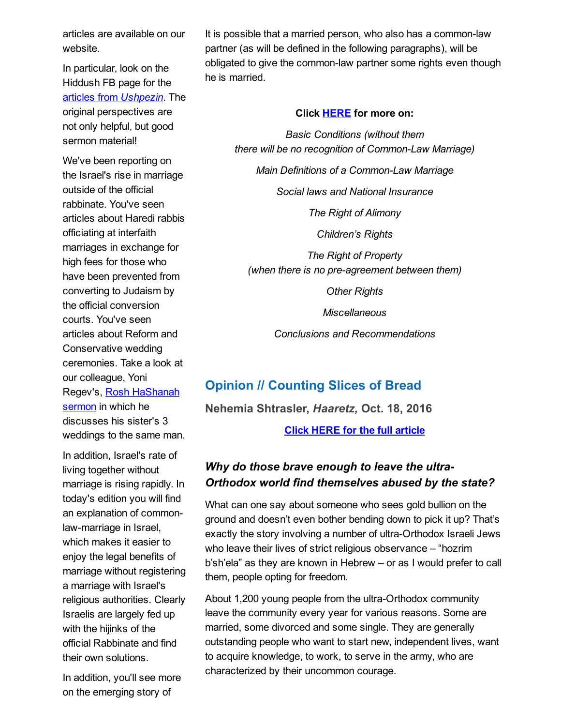articles are available on our website.

In particular, look on the Hiddush FB page for the articles from [Ushpezin](http://cts.vresp.com/c/?FreedomofReligionfor/4bb2664b8f/325ceb4427/5f959b45b4/tag=Sukkot%202016). The original perspectives are not only helpful, but good sermon material!

We've been reporting on the Israel's rise in marriage outside of the official rabbinate. You've seen articles about Haredi rabbis officiating at interfaith marriages in exchange for high fees for those who have been prevented from converting to Judaism by the official conversion courts. You've seen articles about Reform and Conservative wedding ceremonies. Take a look at our colleague, Yoni Regev's, Rosh [HaShanah](http://cts.vresp.com/c/?FreedomofReligionfor/4bb2664b8f/325ceb4427/f47ea8e8c9) sermon in which he discusses his sister's 3 weddings to the same man.

In addition, Israel's rate of living together without marriage is rising rapidly. In today's edition you will find an explanation of commonlaw-marriage in Israel, which makes it easier to enjoy the legal benefits of marriage without registering a marriage with Israel's religious authorities. Clearly Israelis are largely fed up with the hijinks of the official Rabbinate and find their own solutions.

In addition, you'll see more on the emerging story of

It is possible that a married person, who also has a common-law partner (as will be defined in the following paragraphs), will be obligated to give the common-law partner some rights even though he is married.

#### Click **[HERE](http://cts.vresp.com/c/?FreedomofReligionfor/4bb2664b8f/325ceb4427/5d3886cfaa)** for more on:

Basic Conditions (without them there will be no recognition of Common-Law Marriage)

Main Definitions of a Common-Law Marriage

Social laws and National Insurance

The Right of Alimony

Children's Rights

The Right of Property (when there is no pre-agreement between them)

**Other Rights** 

**Miscellaneous** 

Conclusions and Recommendations

# Opinion // Counting Slices of Bread

Nehemia Shtrasler, Haaretz, Oct. 18, 2016

Click HERE for the full [article](http://cts.vresp.com/c/?FreedomofReligionfor/4bb2664b8f/325ceb4427/d6d1955ec2/=&ts=_1477260777382)

# Why do those brave enough to leave the ultra-Orthodox world find themselves abused by the state?

What can one say about someone who sees gold bullion on the ground and doesn't even bother bending down to pick it up? That's exactly the story involving a number of ultra-Orthodox Israeli Jews who leave their lives of strict religious observance – "hozrim b'sh'ela" as they are known in Hebrew – or as I would prefer to call them, people opting for freedom.

About 1,200 young people from the ultra-Orthodox community leave the community every year for various reasons. Some are married, some divorced and some single. They are generally outstanding people who want to start new, independent lives, want to acquire knowledge, to work, to serve in the army, who are characterized by their uncommon courage.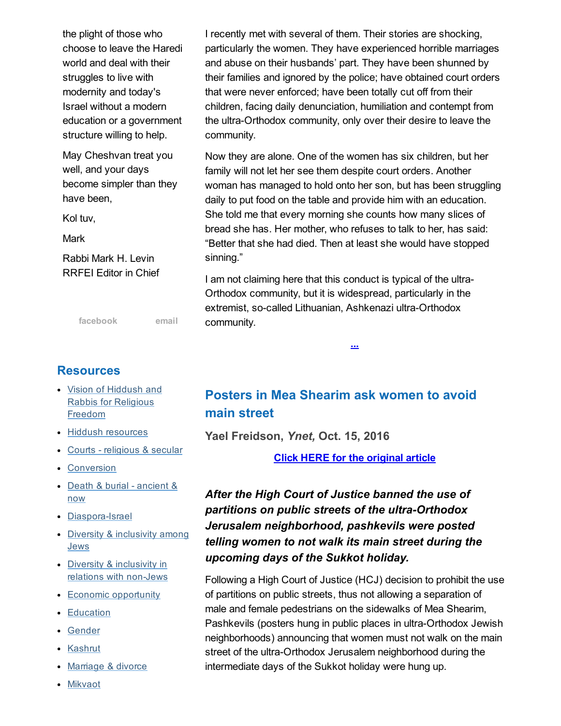the plight of those who choose to leave the Haredi world and deal with their struggles to live with modernity and today's Israel without a modern education or a government structure willing to help.

May Cheshvan treat you well, and your days become simpler than they have been,

Kol tuv,

**Mark** 

Rabbi Mark H. Levin RRFEI Editor in Chief

[facebook](http://cts.vresp.com/c/?FreedomofReligionfor/4bb2664b8f/325ceb4427/d592b9610e) [email](mailto:organizers@rrfei.org)

#### **Resources**

- Vision of Hiddush and Rabbis for [Religious](http://cts.vresp.com/c/?FreedomofReligionfor/4bb2664b8f/325ceb4427/f71dbc834e) Freedom
- Hiddush [resources](http://cts.vresp.com/c/?FreedomofReligionfor/4bb2664b8f/325ceb4427/de03971cdc)
- Courts [religious](http://cts.vresp.com/c/?FreedomofReligionfor/4bb2664b8f/325ceb4427/8dc255f8a1) & secular
- [Conversion](http://cts.vresp.com/c/?FreedomofReligionfor/4bb2664b8f/325ceb4427/f1ec0603d8)
- Death & burial [ancient](http://cts.vresp.com/c/?FreedomofReligionfor/4bb2664b8f/325ceb4427/3e887d534c) & now
- Diaspora-Israel
- Diversity & [inclusivity](http://cts.vresp.com/c/?FreedomofReligionfor/4bb2664b8f/325ceb4427/4be843384a) among **Jews**
- Diversity & inclusivity in relations with non-Jews
- Economic [opportunity](http://cts.vresp.com/c/?FreedomofReligionfor/4bb2664b8f/325ceb4427/0394a1933a)
- [Education](http://cts.vresp.com/c/?FreedomofReligionfor/4bb2664b8f/325ceb4427/8e4f3520fe)
- [Gender](http://cts.vresp.com/c/?FreedomofReligionfor/4bb2664b8f/325ceb4427/fe69db3462)
- [Kashrut](http://cts.vresp.com/c/?FreedomofReligionfor/4bb2664b8f/325ceb4427/3a28597aca)
- [Marriage](http://cts.vresp.com/c/?FreedomofReligionfor/4bb2664b8f/325ceb4427/4a796053ec) & divorce
- [Mikvaot](http://cts.vresp.com/c/?FreedomofReligionfor/4bb2664b8f/325ceb4427/6e7c04a361)

I recently met with several of them. Their stories are shocking, particularly the women. They have experienced horrible marriages and abuse on their husbands' part. They have been shunned by their families and ignored by the police; have obtained court orders that were never enforced; have been totally cut off from their children, facing daily denunciation, humiliation and contempt from the ultra-Orthodox community, only over their desire to leave the community.

Now they are alone. One of the women has six children, but her family will not let her see them despite court orders. Another woman has managed to hold onto her son, but has been struggling daily to put food on the table and provide him with an education. She told me that every morning she counts how many slices of bread she has. Her mother, who refuses to talk to her, has said: "Better that she had died. Then at least she would have stopped sinning."

I am not claiming here that this conduct is typical of the ultra-Orthodox community, but it is widespread, particularly in the extremist, so-called Lithuanian, Ashkenazi ultra-Orthodox community.

[...](http://cts.vresp.com/c/?FreedomofReligionfor/4bb2664b8f/325ceb4427/7955a38064/=&ts=_1477260777382)

# Posters in Mea Shearim ask women to avoid main street

Yael Freidson, Ynet, Oct. 15, 2016

Click HERE for the [original](http://cts.vresp.com/c/?FreedomofReligionfor/4bb2664b8f/325ceb4427/a58335987c) article

# After the High Court of Justice banned the use of partitions on public streets of the ultra-Orthodox Jerusalem neighborhood, pashkevils were posted telling women to not walk its main street during the upcoming days of the Sukkot holiday.

Following a High Court of Justice (HCJ) decision to prohibit the use of partitions on public streets, thus not allowing a separation of male and female pedestrians on the sidewalks of Mea Shearim, Pashkevils (posters hung in public places in ultra-Orthodox Jewish neighborhoods) announcing that women must not walk on the main street of the ultra-Orthodox Jerusalem neighborhood during the intermediate days of the Sukkot holiday were hung up.